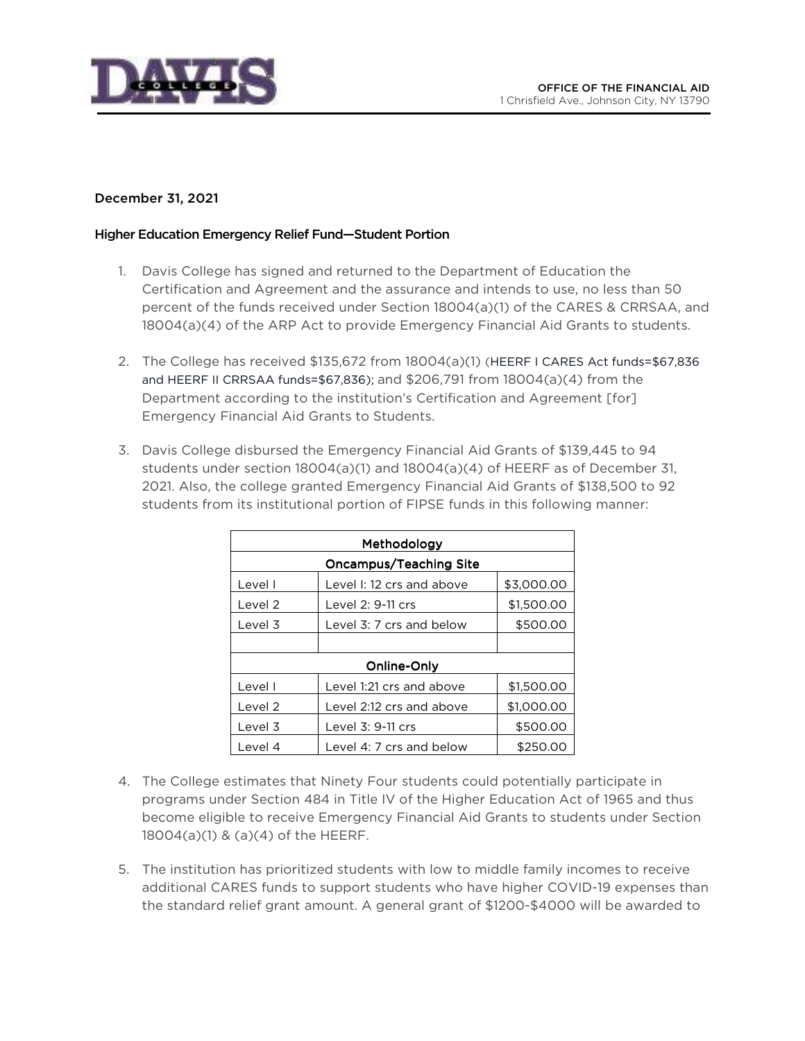

## December 31, 2021

## Higher Education Emergency Relief Fund—Student Portion

- 1. Davis College has signed and returned to the Department of Education the Certification and Agreement and the assurance and intends to use, no less than 50 percent of the funds received under Section 18004(a)(1) of the CARES & CRRSAA, and 18004(a)(4) of the ARP Act to provide Emergency Financial Aid Grants to students.
- 2. The College has received \$135,672 from 18004(a)(1) (HEERF I CARES Act funds=\$67,836 and HEERF II CRRSAA funds=\$67,836); and \$206,791 from 18004(a)(4) from the Department according to the institution's Certification and Agreement [for] Emergency Financial Aid Grants to Students.
- 3. Davis College disbursed the Emergency Financial Aid Grants of \$139,445 to 94 students under section 18004(a)(1) and 18004(a)(4) of HEERF as of December 31, 2021. Also, the college granted Emergency Financial Aid Grants of \$138,500 to 92 students from its institutional portion of FIPSE funds in this following manner:

| Methodology            |                           |            |
|------------------------|---------------------------|------------|
| Oncampus/Teaching Site |                           |            |
| Level I                | Level I: 12 crs and above | \$3,000.00 |
| Level 2                | Level 2: 9-11 crs         | \$1,500.00 |
| Level 3                | Level 3: 7 crs and below  | \$500.00   |
|                        |                           |            |
| Online-Only            |                           |            |
| Level I                | Level 1:21 crs and above  | \$1,500.00 |
| Level 2                | Level 2:12 crs and above  | \$1,000.00 |
| Level 3                | Level 3: 9-11 crs         | \$500.00   |
| Level 4                | Level 4: 7 crs and below  | \$250.00   |

- 4. The College estimates that Ninety Four students could potentially participate in programs under Section 484 in Title IV of the Higher Education Act of 1965 and thus become eligible to receive Emergency Financial Aid Grants to students under Section 18004(a)(1) & (a)(4) of the HEERF.
- 5. The institution has prioritized students with low to middle family incomes to receive additional CARES funds to support students who have higher COVID-19 expenses than the standard relief grant amount. A general grant of \$1200-\$4000 will be awarded to